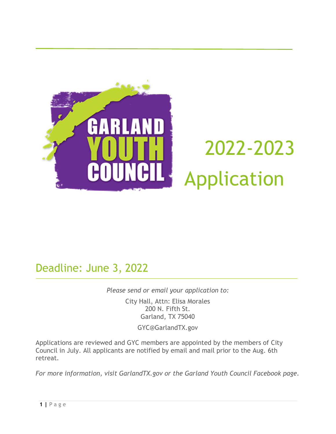

# 2022-2023 Application

Deadline: June 3, 2022

*Please send or email your application to:*

City Hall, Attn: Elisa Morales 200 N. Fifth St. Garland, TX 75040

GYC@GarlandTX.gov

Applications are reviewed and GYC members are appointed by the members of City Council in July. All applicants are notified by email and mail prior to the Aug. 6th retreat.

*For more information, visit GarlandTX.gov or the Garland Youth Council Facebook page.*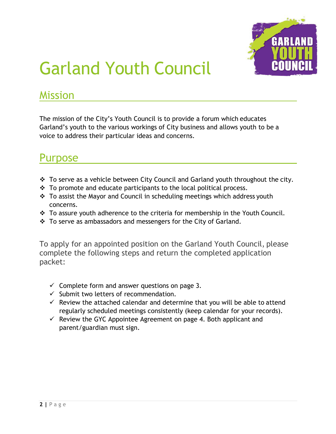

### Garland Youth Council

#### Mission

The mission of the City's Youth Council is to provide a forum which educates Garland's youth to the various workings of City business and allows youth to be a voice to address their particular ideas and concerns.

#### Purpose

- $\cdot$  To serve as a vehicle between City Council and Garland youth throughout the city.
- $\div$  To promote and educate participants to the local political process.
- $\div$  To assist the Mayor and Council in scheduling meetings which address youth concerns.
- \* To assure youth adherence to the criteria for membership in the Youth Council.
- \* To serve as ambassadors and messengers for the City of Garland.

To apply for an appointed position on the Garland Youth Council, please complete the following steps and return the completed application packet:

- $\checkmark$  Complete form and answer questions on page 3.
- $\checkmark$  Submit two letters of recommendation.
- $\checkmark$  Review the attached calendar and determine that you will be able to attend regularly scheduled meetings consistently (keep calendar for your records).
- $\checkmark$  Review the GYC Appointee Agreement on page 4. Both applicant and parent/guardian must sign.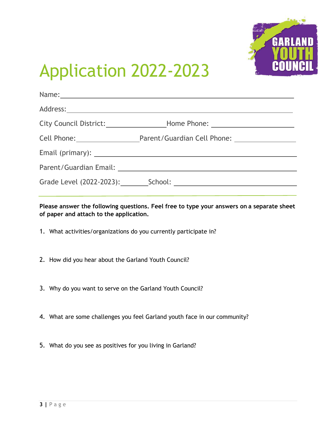

### Application 2022-2023

| City Council District: _______________________Home Phone: ______________________ |
|----------------------------------------------------------------------------------|
| Cell Phone: Parent/Guardian Cell Phone: 2008. [19] Parent/Guardian Cell Phone:   |
|                                                                                  |
|                                                                                  |
|                                                                                  |
|                                                                                  |

**Please answer the following questions. Feel free to type your answers on a separate sheet of paper and attach to the application.**

- 1. What activities/organizations do you currently participate in?
- 2. How did you hear about the Garland Youth Council?
- 3. Why do you want to serve on the Garland Youth Council?
- 4. What are some challenges you feel Garland youth face in our community?
- 5. What do you see as positives for you living in Garland?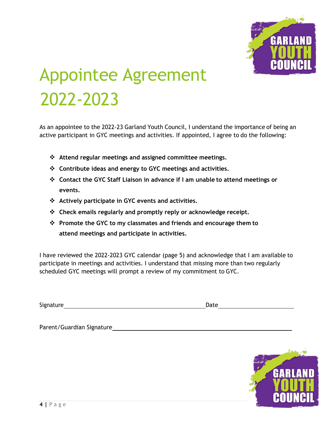

## Appointee Agreement 2022-2023

As an appointee to the 2022-23 Garland Youth Council, I understand the importance of being an active participant in GYC meetings and activities. If appointed, I agree to do the following:

- **Attend regular meetings and assigned committee meetings.**
- **Contribute ideas and energy to GYC meetings and activities.**
- **Contact the GYC Staff Liaison in advance if I am unable to attend meetings or events.**
- **Actively participate in GYC events and activities.**
- **Check emails regularly and promptly reply or acknowledge receipt.**
- **Promote the GYC to my classmates and friends and encourage them to attend meetings and participate in activities.**

I have reviewed the 2022-2023 GYC calendar (page 5) and acknowledge that I am available to participate in meetings and activities. I understand that missing more than two regularly scheduled GYC meetings will prompt a review of my commitment to GYC.

Signature **Date Date Date Date Date Date** 

Parent/Guardian Signature